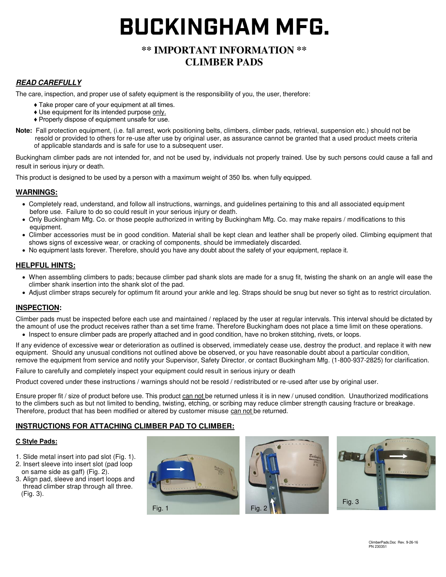# **BUCKINGHAM MFG.**

# **\*\* IMPORTANT INFORMATION \*\* CLIMBER PADS**

## **READ CAREFULLY**

The care, inspection, and proper use of safety equipment is the responsibility of you, the user, therefore:

- ♦ Take proper care of your equipment at all times.
- ♦ Use equipment for its intended purpose only.
- ♦ Properly dispose of equipment unsafe for use.
- **Note:** Fall protection equipment, (i.e. fall arrest, work positioning belts, climbers, climber pads, retrieval, suspension etc.) should not be resold or provided to others for re-use after use by original user, as assurance cannot be granted that a used product meets criteria of applicable standards and is safe for use to a subsequent user.

Buckingham climber pads are not intended for, and not be used by, individuals not properly trained. Use by such persons could cause a fall and result in serious injury or death.

This product is designed to be used by a person with a maximum weight of 350 lbs. when fully equipped.

#### **WARNINGS:**

- Completely read, understand, and follow all instructions, warnings, and guidelines pertaining to this and all associated equipment before use. Failure to do so could result in your serious injury or death.
- Only Buckingham Mfg. Co. or those people authorized in writing by Buckingham Mfg. Co. may make repairs / modifications to this equipment.
- Climber accessories must be in good condition. Material shall be kept clean and leather shall be properly oiled. Climbing equipment that shows signs of excessive wear, or cracking of components, should be immediately discarded.
- No equipment lasts forever. Therefore, should you have any doubt about the safety of your equipment, replace it.

#### **HELPFUL HINTS:**

- When assembling climbers to pads; because climber pad shank slots are made for a snug fit, twisting the shank on an angle will ease the climber shank insertion into the shank slot of the pad.
- Adjust climber straps securely for optimum fit around your ankle and leg. Straps should be snug but never so tight as to restrict circulation.

#### **INSPECTION:**

Climber pads must be inspected before each use and maintained / replaced by the user at regular intervals. This interval should be dictated by the amount of use the product receives rather than a set time frame. Therefore Buckingham does not place a time limit on these operations.

Inspect to ensure climber pads are properly attached and in good condition, have no broken stitching, rivets, or loops.

If any evidence of excessive wear or deterioration as outlined is observed, immediately cease use, destroy the product, and replace it with new equipment. Should any unusual conditions not outlined above be observed, or you have reasonable doubt about a particular condition, remove the equipment from service and notify your Supervisor, Safety Director, or contact Buckingham Mfg. (1-800-937-2825) for clarification.

Failure to carefully and completely inspect your equipment could result in serious injury or death

Product covered under these instructions / warnings should not be resold / redistributed or re-used after use by original user.

Ensure proper fit / size of product before use. This product can not be returned unless it is in new / unused condition. Unauthorized modifications to the climbers such as but not limited to bending, twisting, etching, or scribing may reduce climber strength causing fracture or breakage. Therefore, product that has been modified or altered by customer misuse can not be returned.

#### **INSTRUCTIONS FOR ATTACHING CLIMBER PAD TO CLIMBER:**

#### **C Style Pads:**

- 1. Slide metal insert into pad slot (Fig. 1).
- 2. Insert sleeve into insert slot (pad loop on same side as gaff) (Fig. 2).
- 3. Align pad, sleeve and insert loops and thread climber strap through all three. (Fig. 3).